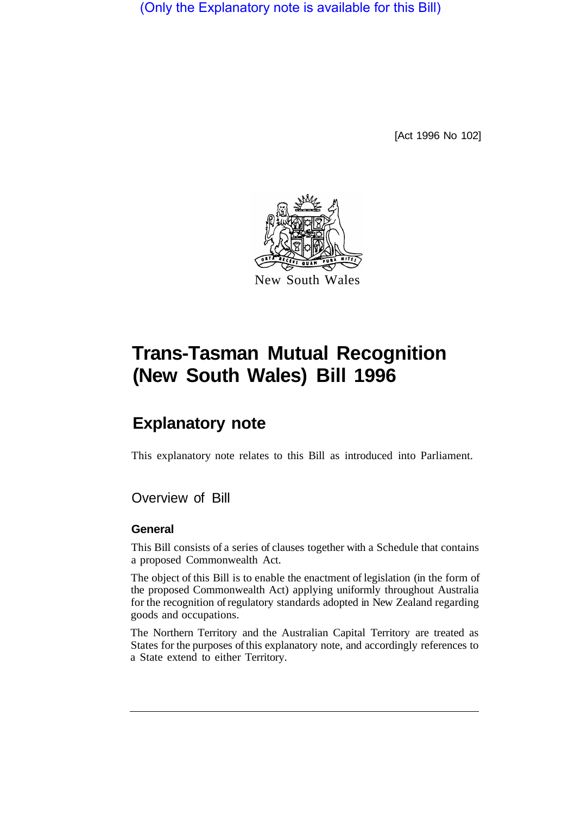(Only the Explanatory note is available for this Bill)

[Act 1996 No 102]



# **Trans-Tasman Mutual Recognition (New South Wales) Bill 1996**

## **Explanatory note**

This explanatory note relates to this Bill as introduced into Parliament.

## Overview of Bill

#### **General**

This Bill consists of a series of clauses together with a Schedule that contains a proposed Commonwealth Act.

The object of this Bill is to enable the enactment of legislation (in the form of the proposed Commonwealth Act) applying uniformly throughout Australia for the recognition of regulatory standards adopted in New Zealand regarding goods and occupations.

The Northern Territory and the Australian Capital Territory are treated as States for the purposes of this explanatory note, and accordingly references to a State extend to either Territory.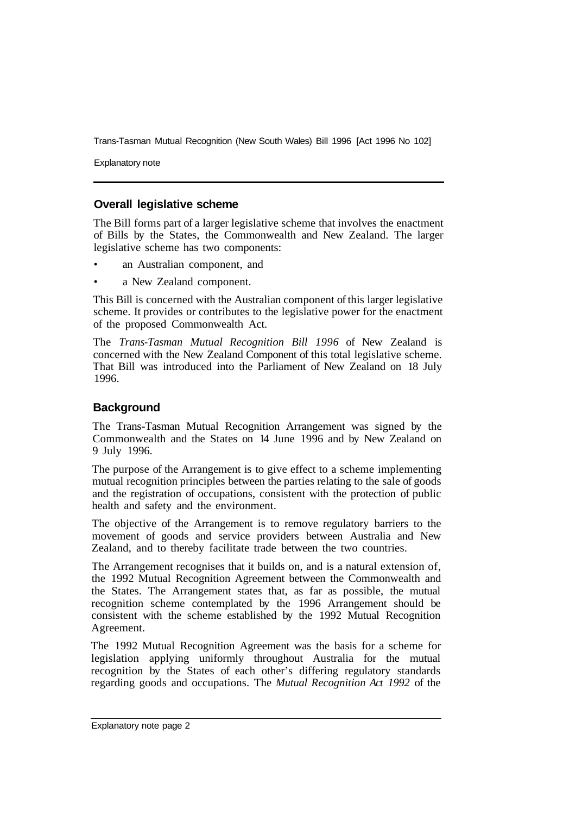Explanatory note

## **Overall legislative scheme**

The Bill forms part of a larger legislative scheme that involves the enactment of Bills by the States, the Commonwealth and New Zealand. The larger legislative scheme has two components:

- an Australian component, and
- a New Zealand component.

This Bill is concerned with the Australian component of this larger legislative scheme. It provides or contributes to the legislative power for the enactment of the proposed Commonwealth Act.

The *Trans-Tasman Mutual Recognition Bill 1996* of New Zealand is concerned with the New Zealand Component of this total legislative scheme. That Bill was introduced into the Parliament of New Zealand on 18 July 1996.

## **Background**

The Trans-Tasman Mutual Recognition Arrangement was signed by the Commonwealth and the States on 14 June 1996 and by New Zealand on 9 July 1996.

The purpose of the Arrangement is to give effect to a scheme implementing mutual recognition principles between the parties relating to the sale of goods and the registration of occupations, consistent with the protection of public health and safety and the environment.

The objective of the Arrangement is to remove regulatory barriers to the movement of goods and service providers between Australia and New Zealand, and to thereby facilitate trade between the two countries.

The Arrangement recognises that it builds on, and is a natural extension of, the 1992 Mutual Recognition Agreement between the Commonwealth and the States. The Arrangement states that, as far as possible, the mutual recognition scheme contemplated by the 1996 Arrangement should be consistent with the scheme established by the 1992 Mutual Recognition Agreement.

The 1992 Mutual Recognition Agreement was the basis for a scheme for legislation applying uniformly throughout Australia for the mutual recognition by the States of each other's differing regulatory standards regarding goods and occupations. The *Mutual Recognition Act 1992* of the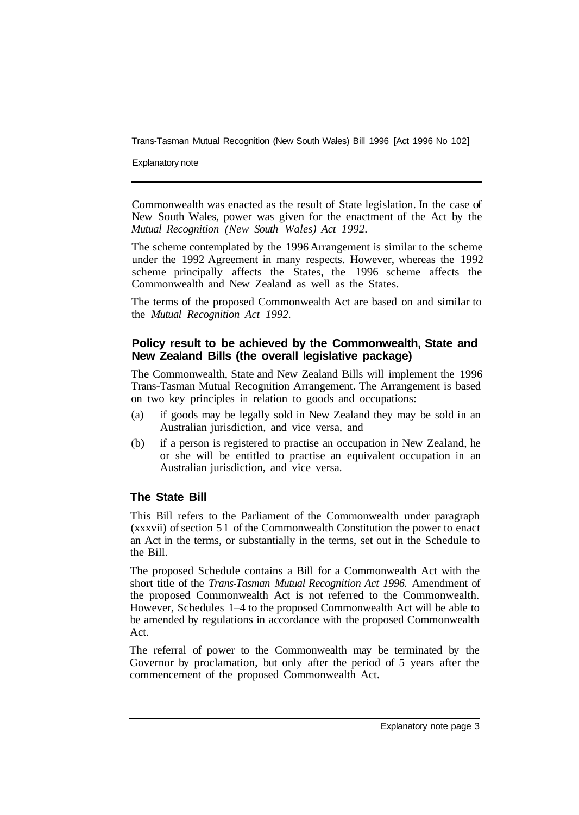Explanatory note

Commonwealth was enacted as the result of State legislation. In the case of New South Wales, power was given for the enactment of the Act by the *Mutual Recognition (New South Wales) Act 1992.* 

The scheme contemplated by the 1996 Arrangement is similar to the scheme under the 1992 Agreement in many respects. However, whereas the 1992 scheme principally affects the States, the 1996 scheme affects the Commonwealth and New Zealand as well as the States.

The terms of the proposed Commonwealth Act are based on and similar to the *Mutual Recognition Act 1992.* 

## **Policy result to be achieved by the Commonwealth, State and New Zealand Bills (the overall legislative package)**

The Commonwealth, State and New Zealand Bills will implement the 1996 Trans-Tasman Mutual Recognition Arrangement. The Arrangement is based on two key principles in relation to goods and occupations:

- (a) if goods may be legally sold in New Zealand they may be sold in an Australian jurisdiction, and vice versa, and
- (b) if a person is registered to practise an occupation in New Zealand, he or she will be entitled to practise an equivalent occupation in an Australian jurisdiction, and vice versa.

## **The State Bill**

This Bill refers to the Parliament of the Commonwealth under paragraph (xxxvii) of section 5 1 of the Commonwealth Constitution the power to enact an Act in the terms, or substantially in the terms, set out in the Schedule to the Bill.

The proposed Schedule contains a Bill for a Commonwealth Act with the short title of the *Trans-Tasman Mutual Recognition Act 1996.* Amendment of the proposed Commonwealth Act is not referred to the Commonwealth. However, Schedules 1–4 to the proposed Commonwealth Act will be able to be amended by regulations in accordance with the proposed Commonwealth Act.

The referral of power to the Commonwealth may be terminated by the Governor by proclamation, but only after the period of 5 years after the commencement of the proposed Commonwealth Act.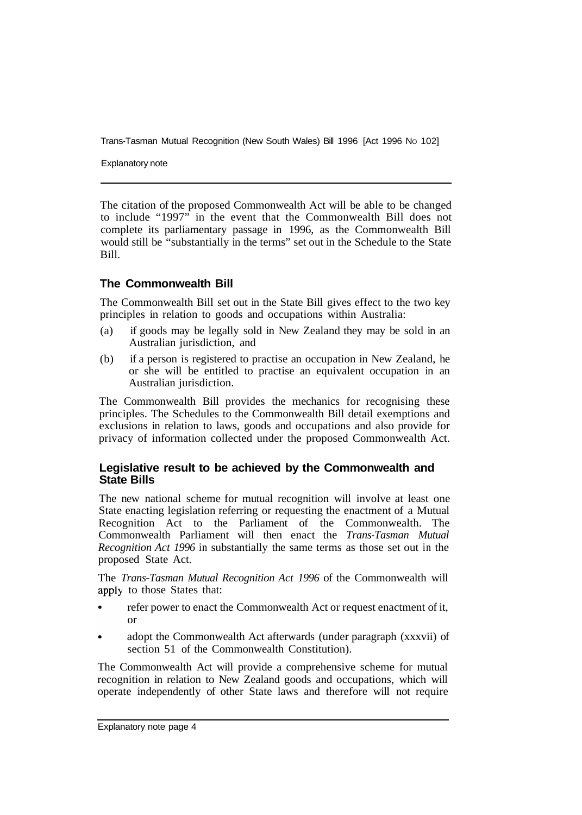Explanatory note

The citation of the proposed Commonwealth Act will be able to be changed to include "1997" in the event that the Commonwealth Bill does not complete its parliamentary passage in 1996, as the Commonwealth Bill would still be "substantially in the terms" set out in the Schedule to the State Bill.

## **The Commonwealth Bill**

The Commonwealth Bill set out in the State Bill gives effect to the two key principles in relation to goods and occupations within Australia:

- (a) if goods may be legally sold in New Zealand they may be sold in an Australian jurisdiction, and
- (b) if a person is registered to practise an occupation in New Zealand, he or she will be entitled to practise an equivalent occupation in an Australian jurisdiction.

The Commonwealth Bill provides the mechanics for recognising these principles. The Schedules to the Commonwealth Bill detail exemptions and exclusions in relation to laws, goods and occupations and also provide for privacy of information collected under the proposed Commonwealth Act.

## **Legislative result to be achieved by the Commonwealth and State Bills**

The new national scheme for mutual recognition will involve at least one State enacting legislation referring or requesting the enactment of a Mutual Recognition Act to the Parliament of the Commonwealth. The Commonwealth Parliament will then enact the *Trans-Tasman Mutual Recognition Act 1996* in substantially the same terms as those set out in the proposed State Act.

The *Trans-Tasman Mutual Recognition Act 1996* of the Commonwealth will apply to those States that:

- refer power to enact the Commonwealth Act or request enactment of it, or
- adopt the Commonwealth Act afterwards (under paragraph (xxxvii) of section 51 of the Commonwealth Constitution).

The Commonwealth Act will provide a comprehensive scheme for mutual recognition in relation to New Zealand goods and occupations, which will operate independently of other State laws and therefore will not require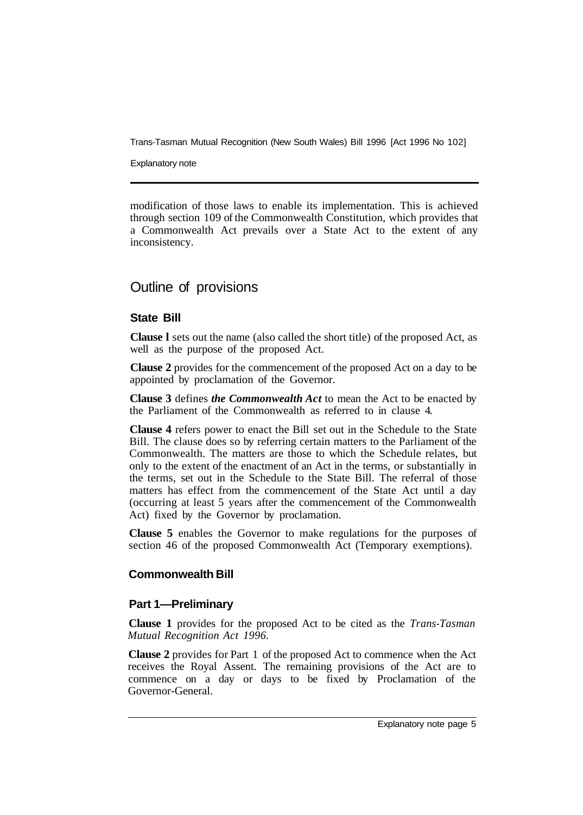Explanatory note

modification of those laws to enable its implementation. This is achieved through section 109 of the Commonwealth Constitution, which provides that a Commonwealth Act prevails over a State Act to the extent of any inconsistency.

## Outline of provisions

## **State Bill**

**Clause l** sets out the name (also called the short title) of the proposed Act, as well as the purpose of the proposed Act.

**Clause 2** provides for the commencement of the proposed Act on a day to be appointed by proclamation of the Governor.

**Clause 3** defines *the Commonwealth Act* to mean the Act to be enacted by the Parliament of the Commonwealth as referred to in clause 4.

**Clause 4** refers power to enact the Bill set out in the Schedule to the State Bill. The clause does so by referring certain matters to the Parliament of the Commonwealth. The matters are those to which the Schedule relates, but only to the extent of the enactment of an Act in the terms, or substantially in the terms, set out in the Schedule to the State Bill. The referral of those matters has effect from the commencement of the State Act until a day (occurring at least 5 years after the commencement of the Commonwealth Act) fixed by the Governor by proclamation.

**Clause 5** enables the Governor to make regulations for the purposes of section 46 of the proposed Commonwealth Act (Temporary exemptions).

## **Commonwealth Bill**

#### **Part 1—Preliminary**

**Clause 1** provides for the proposed Act to be cited as the *Trans-Tasman Mutual Recognition Act 1996.* 

**Clause 2** provides for Part 1 of the proposed Act to commence when the Act receives the Royal Assent. The remaining provisions of the Act are to commence on a day or days to be fixed by Proclamation of the Governor-General.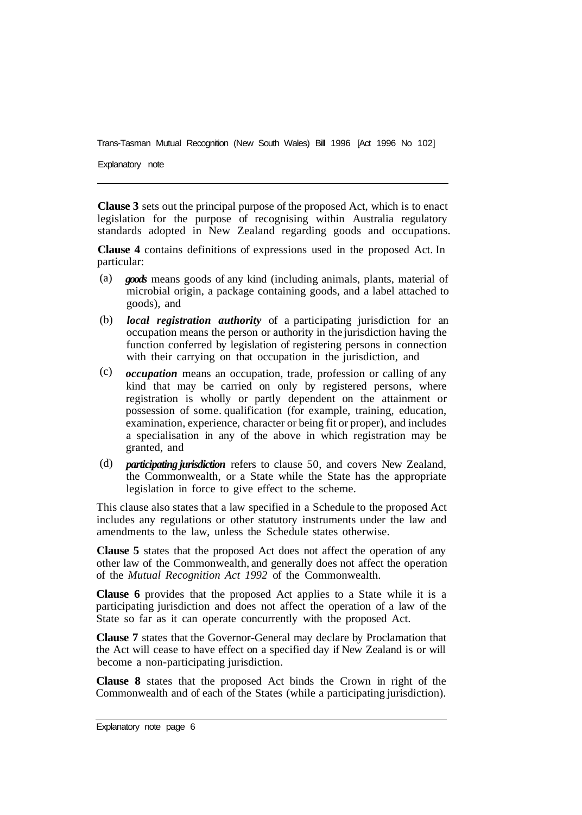Explanatory note

**Clause 3** sets out the principal purpose of the proposed Act, which is to enact legislation for the purpose of recognising within Australia regulatory standards adopted in New Zealand regarding goods and occupations.

**Clause 4** contains definitions of expressions used in the proposed Act. In particular:

- *goods* means goods of any kind (including animals, plants, material of microbial origin, a package containing goods, and a label attached to goods), and (a)
- *local registration authority* of a participating jurisdiction for an occupation means the person or authority in the jurisdiction having the function conferred by legislation of registering persons in connection with their carrying on that occupation in the jurisdiction, and (b)
- *occupation* means an occupation, trade, profession or calling of any kind that may be carried on only by registered persons, where registration is wholly or partly dependent on the attainment or possession of some. qualification (for example, training, education, examination, experience, character or being fit or proper), and includes a specialisation in any of the above in which registration may be granted, and (c)
- *participating jurisdiction* refers to clause 50, and covers New Zealand, (d)the Commonwealth, or a State while the State has the appropriate legislation in force to give effect to the scheme.

This clause also states that a law specified in a Schedule to the proposed Act includes any regulations or other statutory instruments under the law and amendments to the law, unless the Schedule states otherwise.

**Clause 5** states that the proposed Act does not affect the operation of any other law of the Commonwealth, and generally does not affect the operation of the *Mutual Recognition Act 1992* of the Commonwealth.

**Clause 6** provides that the proposed Act applies to a State while it is a participating jurisdiction and does not affect the operation of a law of the State so far as it can operate concurrently with the proposed Act.

**Clause 7** states that the Governor-General may declare by Proclamation that the Act will cease to have effect on a specified day if New Zealand is or will become a non-participating jurisdiction.

**Clause 8** states that the proposed Act binds the Crown in right of the Commonwealth and of each of the States (while a participating jurisdiction).

Explanatory note page 6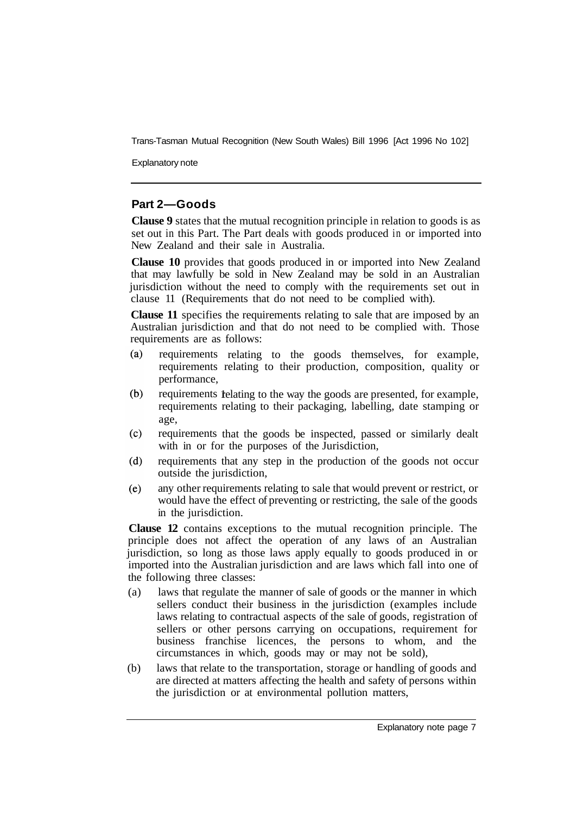Explanatory note

## **Part 2—Goods**

**Clause 9** states that the mutual recognition principle in relation to goods is as set out in this Part. The Part deals with goods produced in or imported into New Zealand and their sale in Australia.

**Clause 10** provides that goods produced in or imported into New Zealand that may lawfully be sold in New Zealand may be sold in an Australian jurisdiction without the need to comply with the requirements set out in clause 11 (Requirements that do not need to be complied with).

**Clause 11** specifies the requirements relating to sale that are imposed by an Australian jurisdiction and that do not need to be complied with. Those requirements are as follows:

- $(a)$ requirements relating to the goods themselves, for example, requirements relating to their production, composition, quality or performance,
- $(b)$ requirements relating to the way the goods are presented, for example, requirements relating to their packaging, labelling, date stamping or age,
- $(c)$ requirements that the goods be inspected, passed or similarly dealt with in or for the purposes of the Jurisdiction,
- requirements that any step in the production of the goods not occur  $(d)$ outside the jurisdiction,
- any other requirements relating to sale that would prevent or restrict, or  $(e)$ would have the effect of preventing or restricting, the sale of the goods in the jurisdiction.

**Clause 12** contains exceptions to the mutual recognition principle. The principle does not affect the operation of any laws of an Australian jurisdiction, so long as those laws apply equally to goods produced in or imported into the Australian jurisdiction and are laws which fall into one of the following three classes:

- (a) laws that regulate the manner of sale of goods or the manner in which sellers conduct their business in the jurisdiction (examples include laws relating to contractual aspects of the sale of goods, registration of sellers or other persons carrying on occupations, requirement for business franchise licences, the persons to whom, and the circumstances in which, goods may or may not be sold),
- (b) laws that relate to the transportation, storage or handling of goods and are directed at matters affecting the health and safety of persons within the jurisdiction or at environmental pollution matters,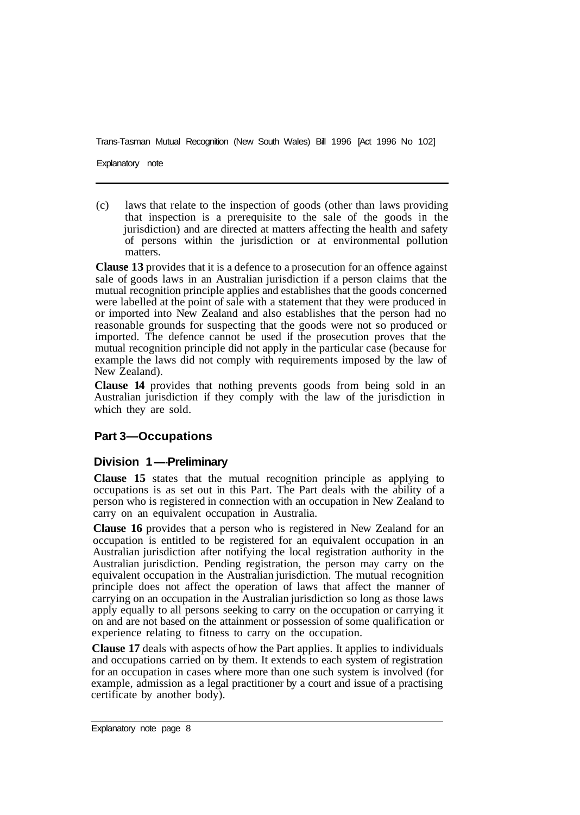Explanatory note

(c) laws that relate to the inspection of goods (other than laws providing that inspection is a prerequisite to the sale of the goods in the jurisdiction) and are directed at matters affecting the health and safety of persons within the jurisdiction or at environmental pollution matters.

**Clause 13** provides that it is a defence to a prosecution for an offence against sale of goods laws in an Australian jurisdiction if a person claims that the mutual recognition principle applies and establishes that the goods concerned were labelled at the point of sale with a statement that they were produced in or imported into New Zealand and also establishes that the person had no reasonable grounds for suspecting that the goods were not so produced or imported. The defence cannot be used if the prosecution proves that the mutual recognition principle did not apply in the particular case (because for example the laws did not comply with requirements imposed by the law of New Zealand).

**Clause 14** provides that nothing prevents goods from being sold in an Australian jurisdiction if they comply with the law of the jurisdiction in which they are sold.

## **Part 3—Occupations**

#### **Division 1-Preliminary**

**Clause 15** states that the mutual recognition principle as applying to occupations is as set out in this Part. The Part deals with the ability of a person who is registered in connection with an occupation in New Zealand to carry on an equivalent occupation in Australia.

**Clause 16** provides that a person who is registered in New Zealand for an occupation is entitled to be registered for an equivalent occupation in an Australian jurisdiction after notifying the local registration authority in the Australian jurisdiction. Pending registration, the person may carry on the equivalent occupation in the Australian jurisdiction. The mutual recognition principle does not affect the operation of laws that affect the manner of carrying on an occupation in the Australian jurisdiction so long as those laws apply equally to all persons seeking to carry on the occupation or carrying it on and are not based on the attainment or possession of some qualification or experience relating to fitness to carry on the occupation.

**Clause 17** deals with aspects of how the Part applies. It applies to individuals and occupations carried on by them. It extends to each system of registration for an occupation in cases where more than one such system is involved (for example, admission as a legal practitioner by a court and issue of a practising certificate by another body).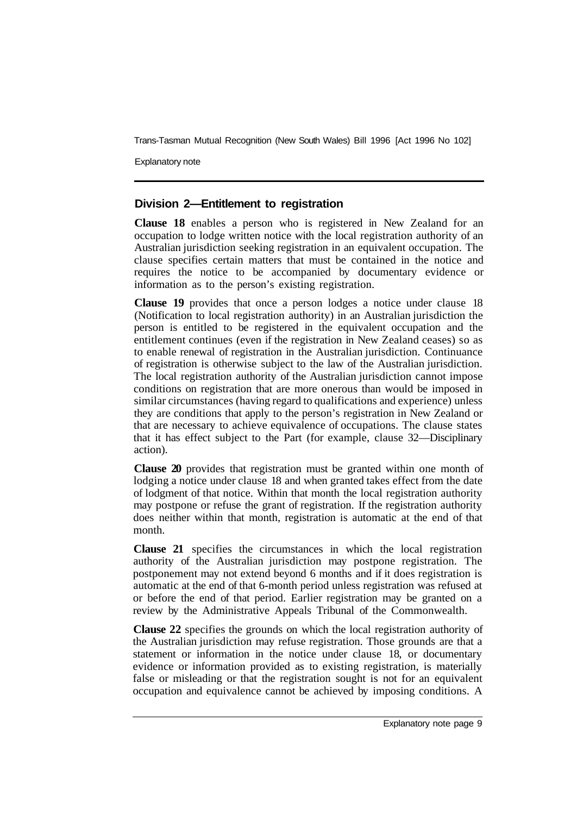Explanatory note

## **Division 2—Entitlement to registration**

**Clause 18** enables a person who is registered in New Zealand for an occupation to lodge written notice with the local registration authority of an Australian jurisdiction seeking registration in an equivalent occupation. The clause specifies certain matters that must be contained in the notice and requires the notice to be accompanied by documentary evidence or information as to the person's existing registration.

**Clause 19** provides that once a person lodges a notice under clause 18 (Notification to local registration authority) in an Australian jurisdiction the person is entitled to be registered in the equivalent occupation and the entitlement continues (even if the registration in New Zealand ceases) so as to enable renewal of registration in the Australian jurisdiction. Continuance of registration is otherwise subject to the law of the Australian jurisdiction. The local registration authority of the Australian jurisdiction cannot impose conditions on registration that are more onerous than would be imposed in similar circumstances (having regard to qualifications and experience) unless they are conditions that apply to the person's registration in New Zealand or that are necessary to achieve equivalence of occupations. The clause states that it has effect subject to the Part (for example, clause 32—Disciplinary action).

**Clause 20** provides that registration must be granted within one month of lodging a notice under clause 18 and when granted takes effect from the date of lodgment of that notice. Within that month the local registration authority may postpone or refuse the grant of registration. If the registration authority does neither within that month, registration is automatic at the end of that month.

**Clause 21** specifies the circumstances in which the local registration authority of the Australian jurisdiction may postpone registration. The postponement may not extend beyond 6 months and if it does registration is automatic at the end of that 6-month period unless registration was refused at or before the end of that period. Earlier registration may be granted on a review by the Administrative Appeals Tribunal of the Commonwealth.

**Clause 22** specifies the grounds on which the local registration authority of the Australian jurisdiction may refuse registration. Those grounds are that a statement or information in the notice under clause 18, or documentary evidence or information provided as to existing registration, is materially false or misleading or that the registration sought is not for an equivalent occupation and equivalence cannot be achieved by imposing conditions. A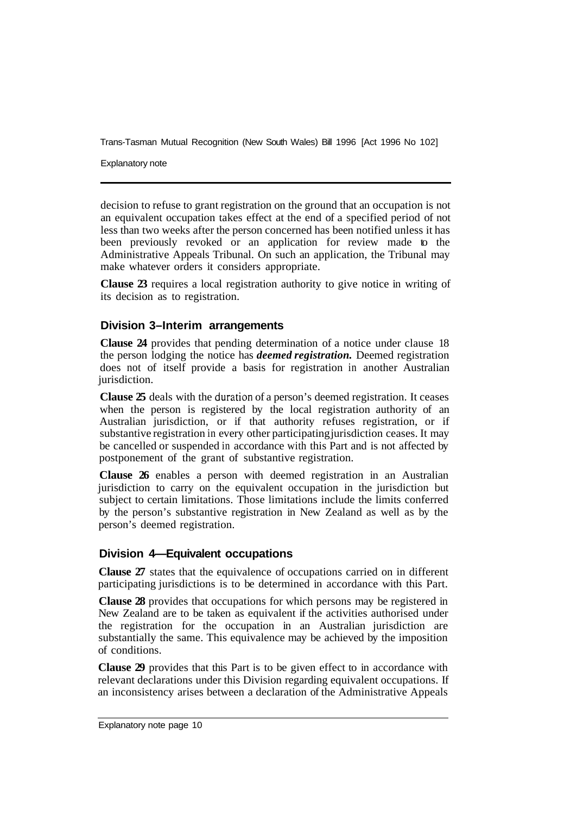Explanatory note

decision to refuse to grant registration on the ground that an occupation is not an equivalent occupation takes effect at the end of a specified period of not less than two weeks after the person concerned has been notified unless it has been previously revoked or an application for review made to the Administrative Appeals Tribunal. On such an application, the Tribunal may make whatever orders it considers appropriate.

**Clause 23** requires a local registration authority to give notice in writing of its decision as to registration.

## **Division 3–Interim arrangements**

**Clause 24** provides that pending determination of a notice under clause 18 the person lodging the notice has *deemed registration.* Deemed registration does not of itself provide a basis for registration in another Australian jurisdiction.

**Clause 25** deals with the duration of a person's deemed registration. It ceases when the person is registered by the local registration authority of an Australian jurisdiction, or if that authority refuses registration, or if substantive registration in every other participating jurisdiction ceases. It may be cancelled or suspended in accordance with this Part and is not affected by postponement of the grant of substantive registration.

**Clause 26** enables a person with deemed registration in an Australian jurisdiction to carry on the equivalent occupation in the jurisdiction but subject to certain limitations. Those limitations include the limits conferred by the person's substantive registration in New Zealand as well as by the person's deemed registration.

#### **Division 4—Equivalent occupations**

**Clause 27** states that the equivalence of occupations carried on in different participating jurisdictions is to be determined in accordance with this Part.

**Clause 28** provides that occupations for which persons may be registered in New Zealand are to be taken as equivalent if the activities authorised under the registration for the occupation in an Australian jurisdiction are substantially the same. This equivalence may be achieved by the imposition of conditions.

**Clause 29** provides that this Part is to be given effect to in accordance with relevant declarations under this Division regarding equivalent occupations. If an inconsistency arises between a declaration of the Administrative Appeals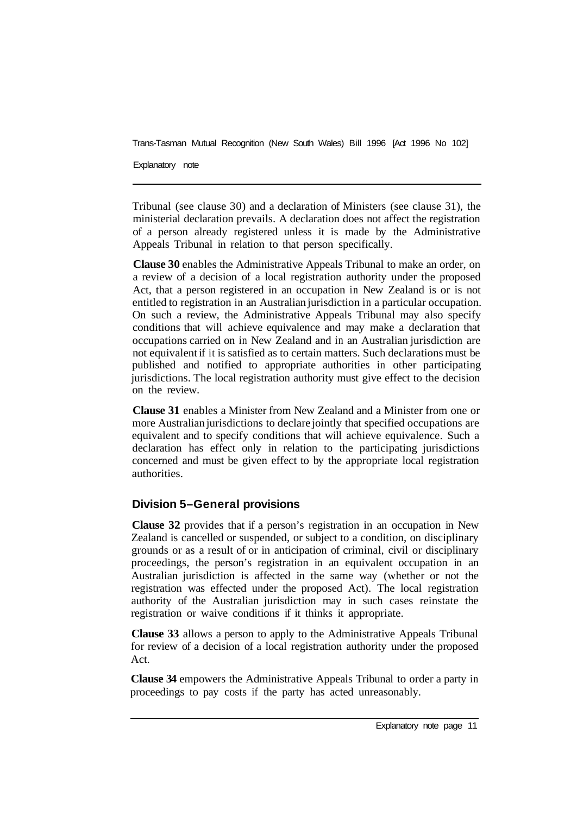Explanatory note

Tribunal (see clause 30) and a declaration of Ministers (see clause 31), the ministerial declaration prevails. A declaration does not affect the registration of a person already registered unless it is made by the Administrative Appeals Tribunal in relation to that person specifically.

**Clause 30** enables the Administrative Appeals Tribunal to make an order, on a review of a decision of a local registration authority under the proposed Act, that a person registered in an occupation in New Zealand is or is not entitled to registration in an Australian jurisdiction in a particular occupation. On such a review, the Administrative Appeals Tribunal may also specify conditions that will achieve equivalence and may make a declaration that occupations carried on in New Zealand and in an Australian jurisdiction are not equivalent if it is satisfied as to certain matters. Such declarations must be published and notified to appropriate authorities in other participating jurisdictions. The local registration authority must give effect to the decision on the review.

**Clause 31** enables a Minister from New Zealand and a Minister from one or more Australian jurisdictions to declare jointly that specified occupations are equivalent and to specify conditions that will achieve equivalence. Such a declaration has effect only in relation to the participating jurisdictions concerned and must be given effect to by the appropriate local registration authorities.

## **Division 5–General provisions**

**Clause 32** provides that if a person's registration in an occupation in New Zealand is cancelled or suspended, or subject to a condition, on disciplinary grounds or as a result of or in anticipation of criminal, civil or disciplinary proceedings, the person's registration in an equivalent occupation in an Australian jurisdiction is affected in the same way (whether or not the registration was effected under the proposed Act). The local registration authority of the Australian jurisdiction may in such cases reinstate the registration or waive conditions if it thinks it appropriate.

**Clause 33** allows a person to apply to the Administrative Appeals Tribunal for review of a decision of a local registration authority under the proposed Act.

**Clause 34** empowers the Administrative Appeals Tribunal to order a party in proceedings to pay costs if the party has acted unreasonably.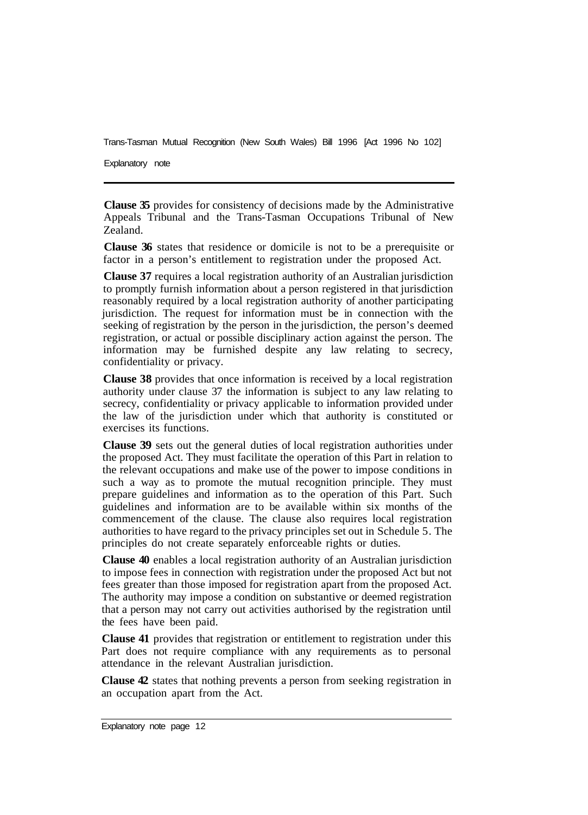Explanatory note

**Clause 35** provides for consistency of decisions made by the Administrative Appeals Tribunal and the Trans-Tasman Occupations Tribunal of New Zealand.

**Clause 36** states that residence or domicile is not to be a prerequisite or factor in a person's entitlement to registration under the proposed Act.

**Clause 37** requires a local registration authority of an Australian jurisdiction to promptly furnish information about a person registered in that jurisdiction reasonably required by a local registration authority of another participating jurisdiction. The request for information must be in connection with the seeking of registration by the person in the jurisdiction, the person's deemed registration, or actual or possible disciplinary action against the person. The information may be furnished despite any law relating to secrecy, confidentiality or privacy.

**Clause 38** provides that once information is received by a local registration authority under clause 37 the information is subject to any law relating to secrecy, confidentiality or privacy applicable to information provided under the law of the jurisdiction under which that authority is constituted or exercises its functions.

**Clause 39** sets out the general duties of local registration authorities under the proposed Act. They must facilitate the operation of this Part in relation to the relevant occupations and make use of the power to impose conditions in such a way as to promote the mutual recognition principle. They must prepare guidelines and information as to the operation of this Part. Such guidelines and information are to be available within six months of the commencement of the clause. The clause also requires local registration authorities to have regard to the privacy principles set out in Schedule 5. The principles do not create separately enforceable rights or duties.

**Clause 40** enables a local registration authority of an Australian jurisdiction to impose fees in connection with registration under the proposed Act but not fees greater than those imposed for registration apart from the proposed Act. The authority may impose a condition on substantive or deemed registration that a person may not carry out activities authorised by the registration until the fees have been paid.

**Clause 41** provides that registration or entitlement to registration under this Part does not require compliance with any requirements as to personal attendance in the relevant Australian jurisdiction.

**Clause 42** states that nothing prevents a person from seeking registration in an occupation apart from the Act.

Explanatory note page 12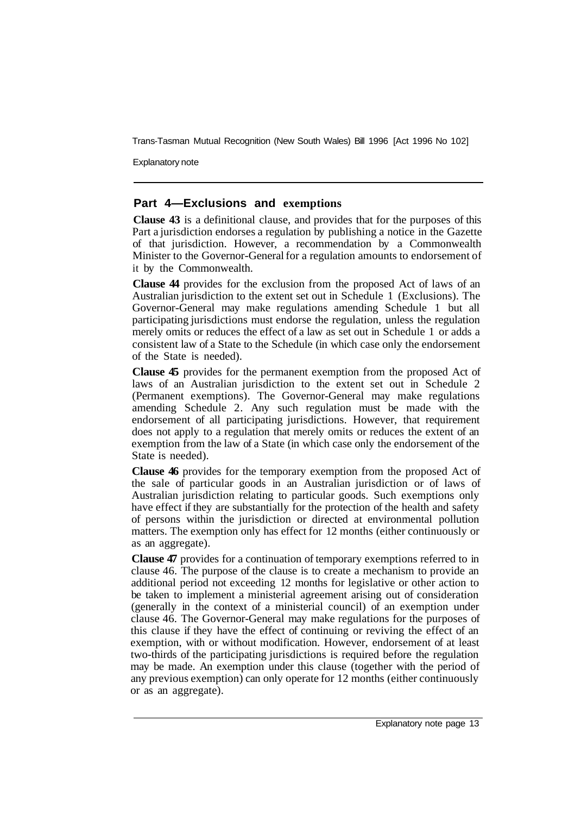Explanatory note

## **Part 4—Exclusions and exemptions**

**Clause 43** is a definitional clause, and provides that for the purposes of this Part a jurisdiction endorses a regulation by publishing a notice in the Gazette of that jurisdiction. However, a recommendation by a Commonwealth Minister to the Governor-General for a regulation amounts to endorsement of it by the Commonwealth.

**Clause 44** provides for the exclusion from the proposed Act of laws of an Australian jurisdiction to the extent set out in Schedule 1 (Exclusions). The Governor-General may make regulations amending Schedule 1 but all participating jurisdictions must endorse the regulation, unless the regulation merely omits or reduces the effect of a law as set out in Schedule 1 or adds a consistent law of a State to the Schedule (in which case only the endorsement of the State is needed).

**Clause 45** provides for the permanent exemption from the proposed Act of laws of an Australian jurisdiction to the extent set out in Schedule 2 (Permanent exemptions). The Governor-General may make regulations amending Schedule 2. Any such regulation must be made with the endorsement of all participating jurisdictions. However, that requirement does not apply to a regulation that merely omits or reduces the extent of an exemption from the law of a State (in which case only the endorsement of the State is needed).

**Clause 46** provides for the temporary exemption from the proposed Act of the sale of particular goods in an Australian jurisdiction or of laws of Australian jurisdiction relating to particular goods. Such exemptions only have effect if they are substantially for the protection of the health and safety of persons within the jurisdiction or directed at environmental pollution matters. The exemption only has effect for 12 months (either continuously or as an aggregate).

**Clause 47** provides for a continuation of temporary exemptions referred to in clause 46. The purpose of the clause is to create a mechanism to provide an additional period not exceeding 12 months for legislative or other action to be taken to implement a ministerial agreement arising out of consideration (generally in the context of a ministerial council) of an exemption under clause 46. The Governor-General may make regulations for the purposes of this clause if they have the effect of continuing or reviving the effect of an exemption, with or without modification. However, endorsement of at least two-thirds of the participating jurisdictions is required before the regulation may be made. An exemption under this clause (together with the period of any previous exemption) can only operate for 12 months (either continuously or as an aggregate).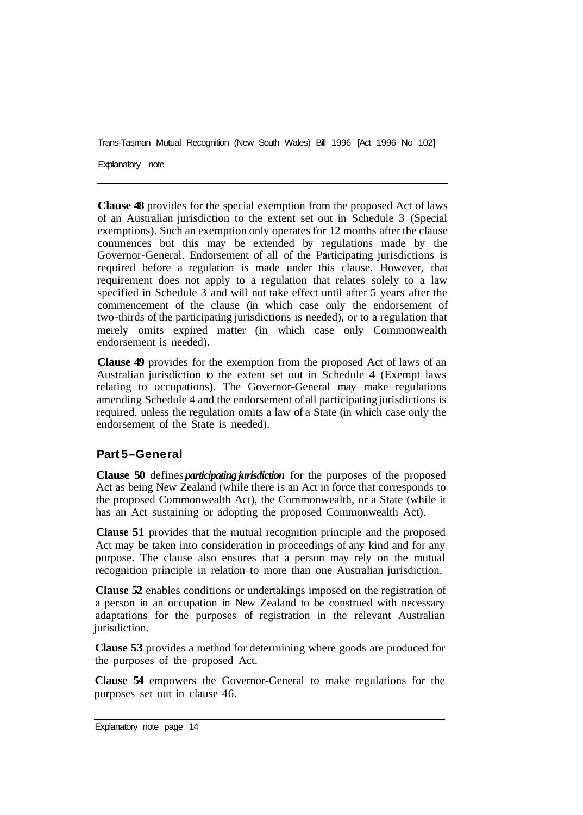Explanatory note

**Clause 48** provides for the special exemption from the proposed Act of laws of an Australian jurisdiction to the extent set out in Schedule 3 (Special exemptions). Such an exemption only operates for 12 months after the clause commences but this may be extended by regulations made by the Governor-General. Endorsement of all of the Participating jurisdictions is required before a regulation is made under this clause. However, that requirement does not apply to a regulation that relates solely to a law specified in Schedule 3 and will not take effect until after 5 years after the commencement of the clause (in which case only the endorsement of two-thirds of the participating jurisdictions is needed), or to a regulation that merely omits expired matter (in which case only Commonwealth endorsement is needed).

**Clause 49** provides for the exemption from the proposed Act of laws of an Australian jurisdiction to the extent set out in Schedule 4 (Exempt laws relating to occupations). The Governor-General may make regulations amending Schedule 4 and the endorsement of all participating jurisdictions is required, unless the regulation omits a law of a State (in which case only the endorsement of the State is needed).

## **Part 5–General**

**Clause 50** defines *participating jurisdiction* for the purposes of the proposed Act as being New Zealand (while there is an Act in force that corresponds to the proposed Commonwealth Act), the Commonwealth, or a State (while it has an Act sustaining or adopting the proposed Commonwealth Act).

**Clause 51** provides that the mutual recognition principle and the proposed Act may be taken into consideration in proceedings of any kind and for any purpose. The clause also ensures that a person may rely on the mutual recognition principle in relation to more than one Australian jurisdiction.

**Clause 52** enables conditions or undertakings imposed on the registration of a person in an occupation in New Zealand to be construed with necessary adaptations for the purposes of registration in the relevant Australian jurisdiction.

**Clause 53** provides a method for determining where goods are produced for the purposes of the proposed Act.

**Clause 54** empowers the Governor-General to make regulations for the purposes set out in clause 46.